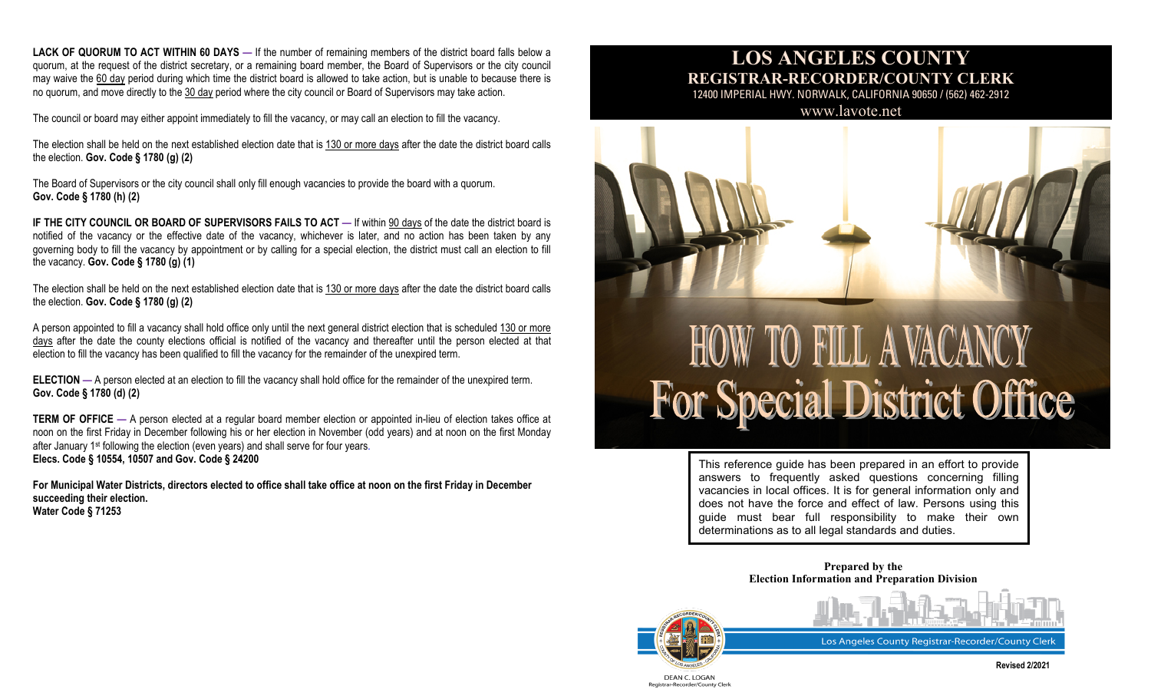**LACK OF QUORUM TO ACT WITHIN 60 DAYS —** If the number of remaining members of the district board falls below a quorum, at the request of the district secretary, or a remaining board member, the Board of Supervisors or the city council may waive the 60 day period during which time the district board is allowed to take action, but is unable to because there is no quorum, and move directly to the 30 day period where the city council or Board of Supervisors may take action.

The council or board may either appoint immediately to fill the vacancy, or may call an election to fill the vacancy.

The election shall be held on the next established election date that is 130 or more days after the date the district board calls the election. **Gov. Code § 1780 (g) (2)**

The Board of Supervisors or the city council shall only fill enough vacancies to provide the board with a quorum. **Gov. Code § 1780 (h) (2)**

**IF THE CITY COUNCIL OR BOARD OF SUPERVISORS FAILS TO ACT —** If within 90 days of the date the district board is notified of the vacancy or the effective date of the vacancy, whichever is later, and no action has been taken by any governing body to fill the vacancy by appointment or by calling for a special election, the district must call an election to fill the vacancy. **Gov. Code § 1780 (g) (1)**

The election shall be held on the next established election date that is 130 or more days after the date the district board calls the election. **Gov. Code § 1780 (g) (2)**

A person appointed to fill a vacancy shall hold office only until the next general district election that is scheduled 130 or more days after the date the county elections official is notified of the vacancy and thereafter until the person elected at that election to fill the vacancy has been qualified to fill the vacancy for the remainder of the unexpired term.

**ELECTION** — A person elected at an election to fill the vacancy shall hold office for the remainder of the unexpired term. **Gov. Code § 1780 (d) (2)**

**TERM OF OFFICE** — A person elected at a regular board member election or appointed in-lieu of election takes office at noon on the first Friday in December following his or her election in November (odd years) and at noon on the first Monday after January 1st following the election (even years) and shall serve for four years. **Elecs. Code § 10554, 10507 and Gov. Code § 24200**

**For Municipal Water Districts, directors elected to office shall take office at noon on the first Friday in December succeeding their election. Water Code § 71253**

## **LOS ANGELES COUNTY REGISTRAR-RECORDER/COUNTY CLERK**

12400 IMPERIAL HWY. NORWALK, CALIFORNIA 90650 / (562) 462-2912

[www.lavote.net](http://www.lavote.net/)



# **HOW TO FILL A VACANCY** For Special District Office

This reference guide has been prepared in an effort to provide answers to frequently asked questions concerning filling vacancies in local offices. It is for general information only and does not have the force and effect of law. Persons using this guide must bear full responsibility to make their own determinations as to all legal standards and duties.

> **Prepared by the Election Information and Preparation Division**



Los Angeles County Registrar-Recorder/County Clerk

DEAN C. LOGAN Registrar-Recorder/County Clerl